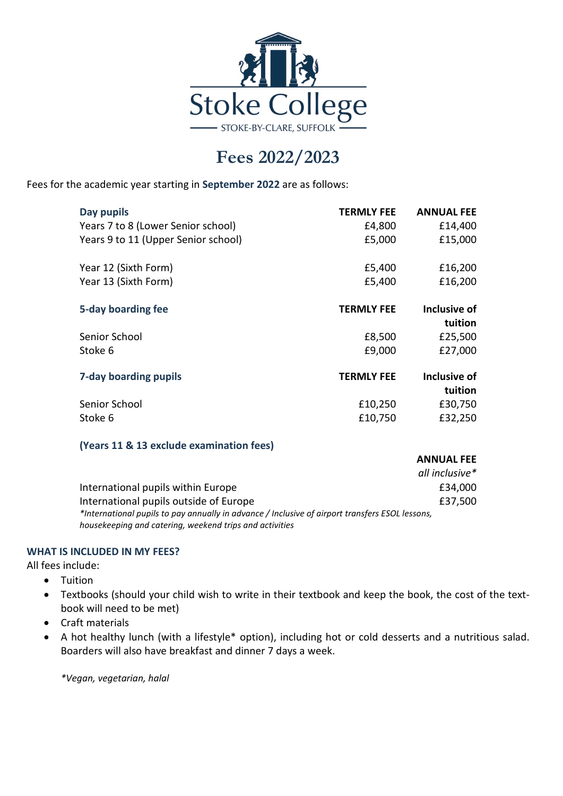

## **Fees 2022/2023**

Fees for the academic year starting in **September 2022** are as follows:

| Day pupils                          | <b>TERMLY FEE</b> | <b>ANNUAL FEE</b> |
|-------------------------------------|-------------------|-------------------|
| Years 7 to 8 (Lower Senior school)  | £4,800            | £14,400           |
| Years 9 to 11 (Upper Senior school) | £5,000            | £15,000           |
| Year 12 (Sixth Form)                | £5,400            | £16,200           |
| Year 13 (Sixth Form)                | £5,400            | £16,200           |
| 5-day boarding fee                  | <b>TERMLY FEE</b> | Inclusive of      |
|                                     |                   | tuition           |
| Senior School                       | £8,500            | £25,500           |
| Stoke 6                             | £9,000            | £27,000           |
| 7-day boarding pupils               | <b>TERMLY FEE</b> | Inclusive of      |
|                                     |                   | tuition           |
| Senior School                       | £10,250           | £30,750           |
| Stoke 6                             | £10,750           | £32,250           |

## **(Years 11 & 13 exclude examination fees)**

|                                                                                                 | AIVIVUAL I LL  |
|-------------------------------------------------------------------------------------------------|----------------|
|                                                                                                 | all inclusive* |
| International pupils within Europe                                                              | £34,000        |
| International pupils outside of Europe                                                          | £37,500        |
| *International pupils to pay annually in advance / Inclusive of airport transfers ESOL lessons, |                |
| housekeeping and catering, weekend trips and activities                                         |                |

**ANNUAL FEE**

## **WHAT IS INCLUDED IN MY FEES?**

All fees include:

- Tuition
- Textbooks (should your child wish to write in their textbook and keep the book, the cost of the textbook will need to be met)
- Craft materials
- A hot healthy lunch (with a lifestyle\* option), including hot or cold desserts and a nutritious salad. Boarders will also have breakfast and dinner 7 days a week.

*\*Vegan, vegetarian, halal*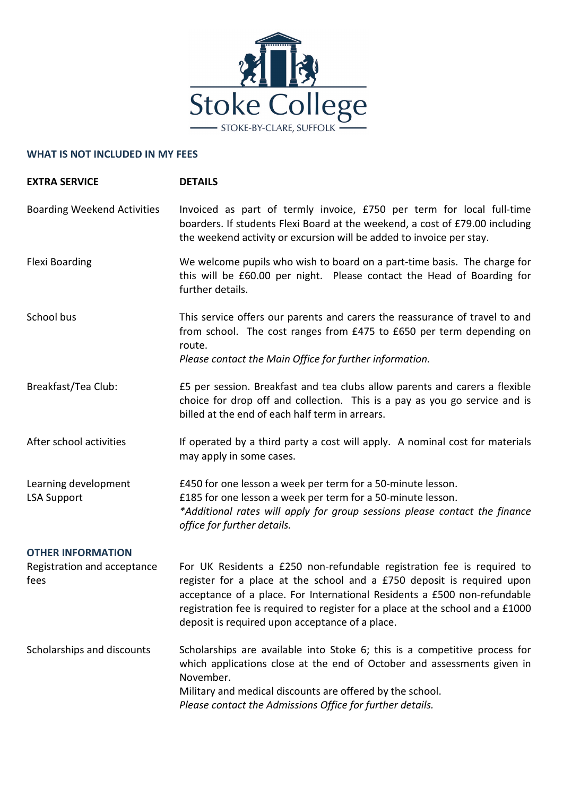

## **WHAT IS NOT INCLUDED IN MY FEES**

| <b>EXTRA SERVICE</b>                       | <b>DETAILS</b>                                                                                                                                                                                                                                                                                                                                                    |
|--------------------------------------------|-------------------------------------------------------------------------------------------------------------------------------------------------------------------------------------------------------------------------------------------------------------------------------------------------------------------------------------------------------------------|
| <b>Boarding Weekend Activities</b>         | Invoiced as part of termly invoice, £750 per term for local full-time<br>boarders. If students Flexi Board at the weekend, a cost of £79.00 including<br>the weekend activity or excursion will be added to invoice per stay.                                                                                                                                     |
| <b>Flexi Boarding</b>                      | We welcome pupils who wish to board on a part-time basis. The charge for<br>this will be £60.00 per night. Please contact the Head of Boarding for<br>further details.                                                                                                                                                                                            |
| School bus                                 | This service offers our parents and carers the reassurance of travel to and<br>from school. The cost ranges from £475 to £650 per term depending on<br>route.<br>Please contact the Main Office for further information.                                                                                                                                          |
| Breakfast/Tea Club:                        | £5 per session. Breakfast and tea clubs allow parents and carers a flexible<br>choice for drop off and collection. This is a pay as you go service and is<br>billed at the end of each half term in arrears.                                                                                                                                                      |
| After school activities                    | If operated by a third party a cost will apply. A nominal cost for materials<br>may apply in some cases.                                                                                                                                                                                                                                                          |
| Learning development<br><b>LSA Support</b> | £450 for one lesson a week per term for a 50-minute lesson.<br>£185 for one lesson a week per term for a 50-minute lesson.<br>*Additional rates will apply for group sessions please contact the finance<br>office for further details.                                                                                                                           |
| <b>OTHER INFORMATION</b>                   |                                                                                                                                                                                                                                                                                                                                                                   |
| Registration and acceptance<br>fees        | For UK Residents a £250 non-refundable registration fee is required to<br>register for a place at the school and a £750 deposit is required upon<br>acceptance of a place. For International Residents a £500 non-refundable<br>registration fee is required to register for a place at the school and a £1000<br>deposit is required upon acceptance of a place. |
| Scholarships and discounts                 | Scholarships are available into Stoke 6; this is a competitive process for<br>which applications close at the end of October and assessments given in<br>November.<br>Military and medical discounts are offered by the school.<br>Please contact the Admissions Office for further details.                                                                      |